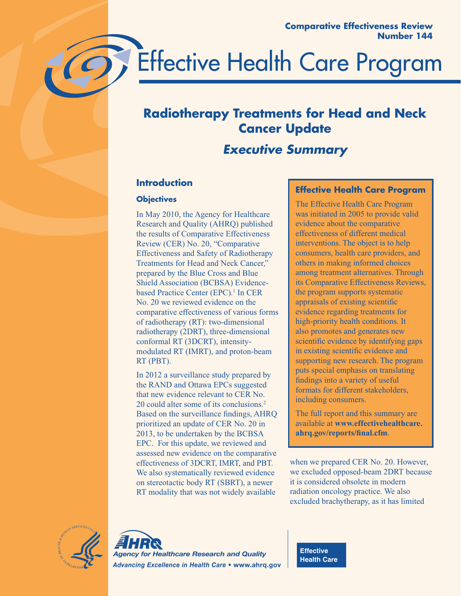

# **Radiotherapy Treatments for Head and Neck Cancer Update**

# *Executive Summary*

# **Introduction**

## **Objectives**

In May 2010, the Agency for Healthcare Research and Quality (AHRQ) published the results of Comparative Effectiveness Review (CER) No. 20, "Comparative Effectiveness and Safety of Radiotherapy Treatments for Head and Neck Cancer," prepared by the Blue Cross and Blue Shield Association (BCBSA) Evidencebased Practice Center (EPC).<sup>1</sup> In CER No. 20 we reviewed evidence on the comparative effectiveness of various forms of radiotherapy (RT): two-dimensional radiotherapy (2DRT), three-dimensional conformal RT (3DCRT), intensitymodulated RT (IMRT), and proton-beam RT (PBT).

In 2012 a surveillance study prepared by the RAND and Ottawa EPCs suggested that new evidence relevant to CER No. 20 could alter some of its conclusions.2 Based on the surveillance findings, AHRQ prioritized an update of CER No. 20 in 2013, to be undertaken by the BCBSA EPC. For this update, we reviewed and assessed new evidence on the comparative effectiveness of 3DCRT, IMRT, and PBT. We also systematically reviewed evidence on stereotactic body RT (SBRT), a newer RT modality that was not widely available

## **Effective Health Care Program**

The Effective Health Care Program was initiated in 2005 to provide valid evidence about the comparative effectiveness of different medical interventions. The object is to help consumers, health care providers, and others in making informed choices among treatment alternatives. Through its Comparative Effectiveness Reviews, the program supports systematic appraisals of existing scientific evidence regarding treatments for high-priority health conditions. It also promotes and generates new scientific evidence by identifying gaps in existing scientific evidence and supporting new research. The program puts special emphasis on translating findings into a variety of useful formats for different stakeholders, including consumers.

The full report and this summary are available at **www.effectivehealthcare. ahrq.gov/reports/final.cfm**.

when we prepared CER No. 20. However, we excluded opposed-beam 2DRT because it is considered obsolete in modern radiation oncology practice. We also excluded brachytherapy, as it has limited





**Effective Health Care**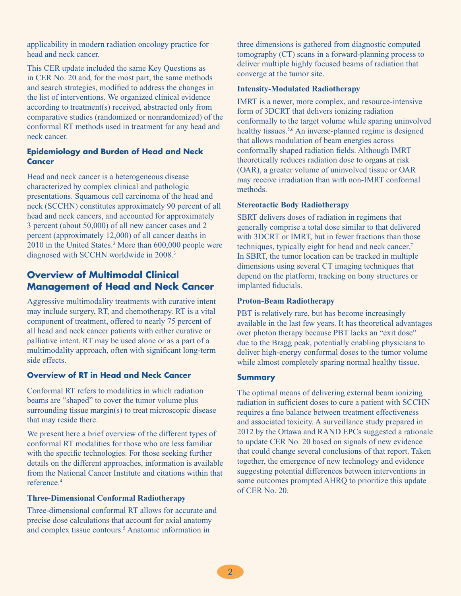applicability in modern radiation oncology practice for head and neck cancer.

This CER update included the same Key Questions as in CER No. 20 and, for the most part, the same methods and search strategies, modified to address the changes in the list of interventions. We organized clinical evidence according to treatment(s) received, abstracted only from comparative studies (randomized or nonrandomized) of the conformal RT methods used in treatment for any head and neck cancer.

#### **Epidemiology and Burden of Head and Neck Cancer**

Head and neck cancer is a heterogeneous disease characterized by complex clinical and pathologic presentations. Squamous cell carcinoma of the head and neck (SCCHN) constitutes approximately 90 percent of all head and neck cancers, and accounted for approximately 3 percent (about 50,000) of all new cancer cases and 2 percent (approximately 12,000) of all cancer deaths in 2010 in the United States.3 More than 600,000 people were diagnosed with SCCHN worldwide in 2008.3

# **Overview of Multimodal Clinical Management of Head and Neck Cancer**

Aggressive multimodality treatments with curative intent may include surgery, RT, and chemotherapy. RT is a vital component of treatment, offered to nearly 75 percent of all head and neck cancer patients with either curative or palliative intent. RT may be used alone or as a part of a multimodality approach, often with significant long-term side effects.

#### **Overview of RT in Head and Neck Cancer**

Conformal RT refers to modalities in which radiation beams are "shaped" to cover the tumor volume plus surrounding tissue margin(s) to treat microscopic disease that may reside there.

We present here a brief overview of the different types of conformal RT modalities for those who are less familiar with the specific technologies. For those seeking further details on the different approaches, information is available from the National Cancer Institute and citations within that reference.4

#### **Three-Dimensional Conformal Radiotherapy**

Three-dimensional conformal RT allows for accurate and precise dose calculations that account for axial anatomy and complex tissue contours.<sup>5</sup> Anatomic information in

three dimensions is gathered from diagnostic computed tomography (CT) scans in a forward-planning process to deliver multiple highly focused beams of radiation that converge at the tumor site.

#### **Intensity-Modulated Radiotherapy**

IMRT is a newer, more complex, and resource-intensive form of 3DCRT that delivers ionizing radiation conformally to the target volume while sparing uninvolved healthy tissues.<sup>5,6</sup> An inverse-planned regime is designed that allows modulation of beam energies across conformally shaped radiation fields. Although IMRT theoretically reduces radiation dose to organs at risk (OAR), a greater volume of uninvolved tissue or OAR may receive irradiation than with non-IMRT conformal methods.

#### **Stereotactic Body Radiotherapy**

SBRT delivers doses of radiation in regimens that generally comprise a total dose similar to that delivered with 3DCRT or IMRT, but in fewer fractions than those techniques, typically eight for head and neck cancer.<sup>7</sup> In SBRT, the tumor location can be tracked in multiple dimensions using several CT imaging techniques that depend on the platform, tracking on bony structures or implanted fiducials.

#### **Proton-Beam Radiotherapy**

PBT is relatively rare, but has become increasingly available in the last few years. It has theoretical advantages over photon therapy because PBT lacks an "exit dose" due to the Bragg peak, potentially enabling physicians to deliver high-energy conformal doses to the tumor volume while almost completely sparing normal healthy tissue.

#### **Summary**

The optimal means of delivering external beam ionizing radiation in sufficient doses to cure a patient with SCCHN requires a fine balance between treatment effectiveness and associated toxicity. A surveillance study prepared in 2012 by the Ottawa and RAND EPCs suggested a rationale to update CER No. 20 based on signals of new evidence that could change several conclusions of that report. Taken together, the emergence of new technology and evidence suggesting potential differences between interventions in some outcomes prompted AHRQ to prioritize this update of CER No. 20.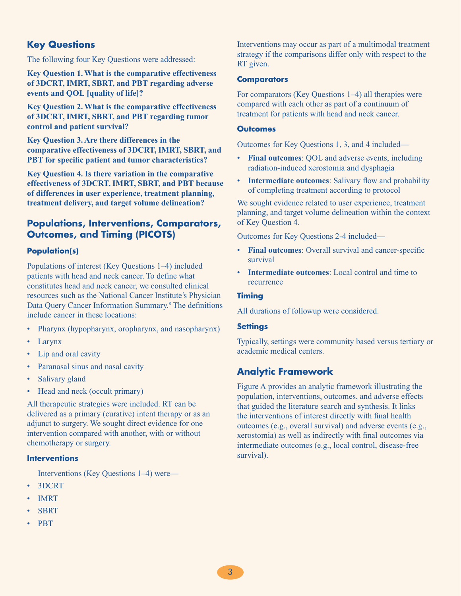# **Key Questions**

The following four Key Questions were addressed:

**Key Question 1. What is the comparative effectiveness of 3DCRT, IMRT, SBRT, and PBT regarding adverse events and QOL [quality of life]?** 

**Key Question 2. What is the comparative effectiveness of 3DCRT, IMRT, SBRT, and PBT regarding tumor control and patient survival?**

**Key Question 3. Are there differences in the comparative effectiveness of 3DCRT, IMRT, SBRT, and PBT for specific patient and tumor characteristics?** 

**Key Question 4. Is there variation in the comparative effectiveness of 3DCRT, IMRT, SBRT, and PBT because of differences in user experience, treatment planning, treatment delivery, and target volume delineation?**

# **Populations, Interventions, Comparators, Outcomes, and Timing (PICOTS)**

#### **Population(s)**

Populations of interest (Key Questions 1–4) included patients with head and neck cancer. To define what constitutes head and neck cancer, we consulted clinical resources such as the National Cancer Institute's Physician Data Query Cancer Information Summary.<sup>8</sup> The definitions include cancer in these locations:

- Pharynx (hypopharynx, oropharynx, and nasopharynx)
- Larynx
- Lip and oral cavity
- Paranasal sinus and nasal cavity
- Salivary gland
- Head and neck (occult primary)

All therapeutic strategies were included. RT can be delivered as a primary (curative) intent therapy or as an adjunct to surgery. We sought direct evidence for one intervention compared with another, with or without chemotherapy or surgery.

#### **Interventions**

Interventions (Key Questions 1–4) were—

- 3DCRT
- IMRT
- **SBRT**
- PBT

Interventions may occur as part of a multimodal treatment strategy if the comparisons differ only with respect to the RT given.

#### **Comparators**

For comparators (Key Questions 1–4) all therapies were compared with each other as part of a continuum of treatment for patients with head and neck cancer.

#### **Outcomes**

Outcomes for Key Questions 1, 3, and 4 included—

- **Final outcomes:** QOL and adverse events, including radiation-induced xerostomia and dysphagia
- **Intermediate outcomes**: Salivary flow and probability of completing treatment according to protocol

We sought evidence related to user experience, treatment planning, and target volume delineation within the context of Key Question 4.

Outcomes for Key Questions 2-4 included—

- **Final outcomes:** Overall survival and cancer-specific survival
- **Intermediate outcomes:** Local control and time to recurrence

#### **Timing**

All durations of followup were considered.

#### **Settings**

Typically, settings were community based versus tertiary or academic medical centers.

# **Analytic Framework**

Figure A provides an analytic framework illustrating the population, interventions, outcomes, and adverse effects that guided the literature search and synthesis. It links the interventions of interest directly with final health outcomes (e.g., overall survival) and adverse events (e.g., xerostomia) as well as indirectly with final outcomes via intermediate outcomes (e.g., local control, disease-free survival).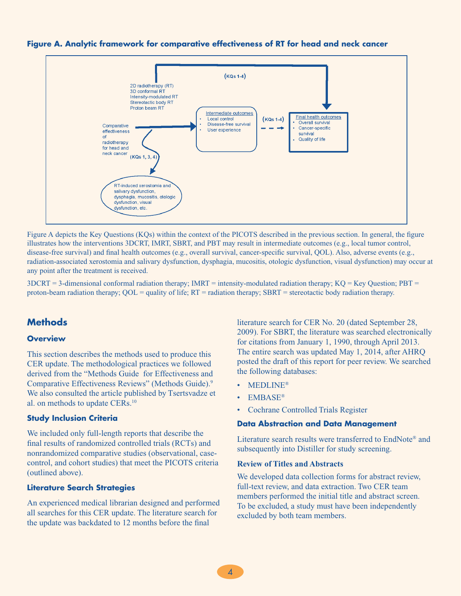



Figure A depicts the Key Questions (KQs) within the context of the PICOTS described in the previous section. In general, the figure illustrates how the interventions 3DCRT, IMRT, SBRT, and PBT may result in intermediate outcomes (e.g., local tumor control, disease-free survival) and final health outcomes (e.g., overall survival, cancer-specific survival, QOL). Also, adverse events (e.g., radiation-associated xerostomia and salivary dysfunction, dysphagia, mucositis, otologic dysfunction, visual dysfunction) may occur at any point after the treatment is received.

 $3DCRT = 3$ -dimensional conformal radiation therapy;  $IMRT =$  intensity-modulated radiation therapy;  $KQ = Key$  Question;  $PBT =$ proton-beam radiation therapy; QOL = quality of life; RT = radiation therapy; SBRT = stereotactic body radiation therapy.

## **Methods**

#### **Overview**

This section describes the methods used to produce this CER update. The methodological practices we followed derived from the "Methods Guide for Effectiveness and Comparative Effectiveness Reviews" (Methods Guide).9 We also consulted the article published by Tsertsvadze et al. on methods to update CERs.10

#### **Study Inclusion Criteria**

We included only full-length reports that describe the final results of randomized controlled trials (RCTs) and nonrandomized comparative studies (observational, casecontrol, and cohort studies) that meet the PICOTS criteria (outlined above).

#### **Literature Search Strategies**

An experienced medical librarian designed and performed all searches for this CER update. The literature search for the update was backdated to 12 months before the final

literature search for CER No. 20 (dated September 28, 2009). For SBRT, the literature was searched electronically for citations from January 1, 1990, through April 2013. The entire search was updated May 1, 2014, after AHRQ posted the draft of this report for peer review. We searched the following databases:

- MEDLINE®
- EMBASE®
- Cochrane Controlled Trials Register

#### **Data Abstraction and Data Management**

Literature search results were transferred to EndNote® and subsequently into Distiller for study screening.

#### **Review of Titles and Abstracts**

We developed data collection forms for abstract review, full-text review, and data extraction. Two CER team members performed the initial title and abstract screen. To be excluded, a study must have been independently excluded by both team members.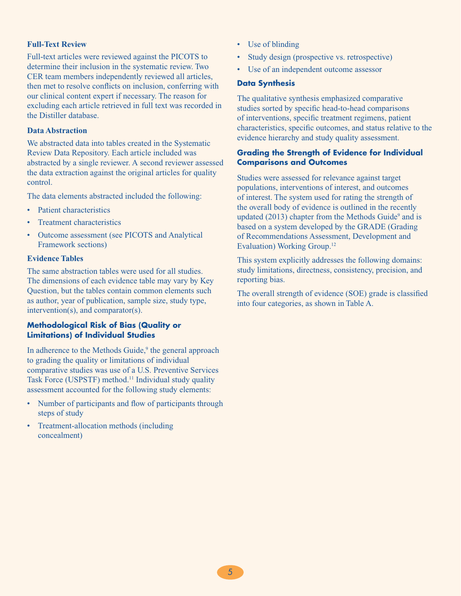#### **Full-Text Review**

Full-text articles were reviewed against the PICOTS to determine their inclusion in the systematic review. Two CER team members independently reviewed all articles, then met to resolve conflicts on inclusion, conferring with our clinical content expert if necessary. The reason for excluding each article retrieved in full text was recorded in the Distiller database.

#### **Data Abstraction**

We abstracted data into tables created in the Systematic Review Data Repository. Each article included was abstracted by a single reviewer. A second reviewer assessed the data extraction against the original articles for quality control.

The data elements abstracted included the following:

- Patient characteristics
- Treatment characteristics
- Outcome assessment (see PICOTS and Analytical Framework sections)

#### **Evidence Tables**

The same abstraction tables were used for all studies. The dimensions of each evidence table may vary by Key Question, but the tables contain common elements such as author, year of publication, sample size, study type, intervention(s), and comparator(s).

#### **Methodological Risk of Bias (Quality or Limitations) of Individual Studies**

In adherence to the Methods Guide,<sup>9</sup> the general approach to grading the quality or limitations of individual comparative studies was use of a U.S. Preventive Services Task Force (USPSTF) method.<sup>11</sup> Individual study quality assessment accounted for the following study elements:

- Number of participants and flow of participants through steps of study
- Treatment-allocation methods (including concealment)
- Use of blinding
- Study design (prospective vs. retrospective)
- Use of an independent outcome assessor

#### **Data Synthesis**

The qualitative synthesis emphasized comparative studies sorted by specific head-to-head comparisons of interventions, specific treatment regimens, patient characteristics, specific outcomes, and status relative to the evidence hierarchy and study quality assessment.

#### **Grading the Strength of Evidence for Individual Comparisons and Outcomes**

Studies were assessed for relevance against target populations, interventions of interest, and outcomes of interest. The system used for rating the strength of the overall body of evidence is outlined in the recently updated  $(2013)$  chapter from the Methods Guide<sup>9</sup> and is based on a system developed by the GRADE (Grading of Recommendations Assessment, Development and Evaluation) Working Group.12

This system explicitly addresses the following domains: study limitations, directness, consistency, precision, and reporting bias.

The overall strength of evidence (SOE) grade is classified into four categories, as shown in Table A.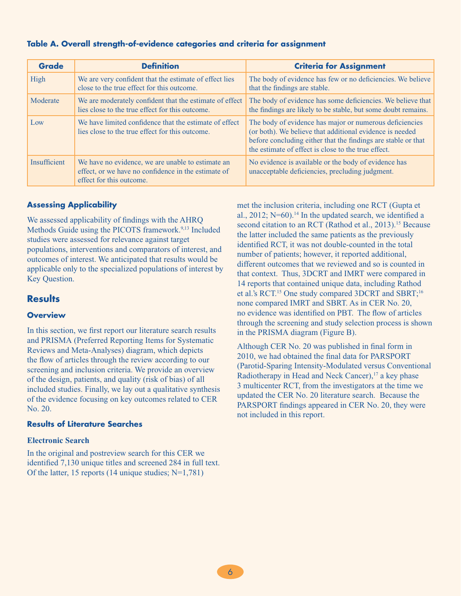| <b>Grade</b>        | <b>Definition</b>                                                                                                                    | <b>Criteria for Assignment</b>                                                                                                                                                                                                              |
|---------------------|--------------------------------------------------------------------------------------------------------------------------------------|---------------------------------------------------------------------------------------------------------------------------------------------------------------------------------------------------------------------------------------------|
| High                | We are very confident that the estimate of effect lies<br>close to the true effect for this outcome.                                 | The body of evidence has few or no deficiencies. We believe<br>that the findings are stable.                                                                                                                                                |
| Moderate            | We are moderately confident that the estimate of effect<br>lies close to the true effect for this outcome.                           | The body of evidence has some deficiencies. We believe that<br>the findings are likely to be stable, but some doubt remains.                                                                                                                |
| Low                 | We have limited confidence that the estimate of effect<br>lies close to the true effect for this outcome.                            | The body of evidence has major or numerous deficiencies<br>(or both). We believe that additional evidence is needed<br>before concluding either that the findings are stable or that<br>the estimate of effect is close to the true effect. |
| <b>Insufficient</b> | We have no evidence, we are unable to estimate an<br>effect, or we have no confidence in the estimate of<br>effect for this outcome. | No evidence is available or the body of evidence has<br>unacceptable deficiencies, precluding judgment.                                                                                                                                     |

#### **Assessing Applicability**

We assessed applicability of findings with the AHRQ Methods Guide using the PICOTS framework.<sup>9,13</sup> Included studies were assessed for relevance against target populations, interventions and comparators of interest, and outcomes of interest. We anticipated that results would be applicable only to the specialized populations of interest by Key Question.

#### **Results**

#### **Overview**

In this section, we first report our literature search results and PRISMA (Preferred Reporting Items for Systematic Reviews and Meta-Analyses) diagram, which depicts the flow of articles through the review according to our screening and inclusion criteria. We provide an overview of the design, patients, and quality (risk of bias) of all included studies. Finally, we lay out a qualitative synthesis of the evidence focusing on key outcomes related to CER No. 20.

#### **Results of Literature Searches**

#### **Electronic Search**

In the original and postreview search for this CER we identified 7,130 unique titles and screened 284 in full text. Of the latter, 15 reports (14 unique studies; N=1,781)

met the inclusion criteria, including one RCT (Gupta et al., 2012;  $N=60$ ).<sup>14</sup> In the updated search, we identified a second citation to an RCT (Rathod et al., 2013).<sup>15</sup> Because the latter included the same patients as the previously identified RCT, it was not double-counted in the total number of patients; however, it reported additional, different outcomes that we reviewed and so is counted in that context. Thus, 3DCRT and IMRT were compared in 14 reports that contained unique data, including Rathod et al.'s RCT.<sup>15</sup> One study compared 3DCRT and SBRT;<sup>16</sup> none compared IMRT and SBRT. As in CER No. 20, no evidence was identified on PBT. The flow of articles through the screening and study selection process is shown in the PRISMA diagram (Figure B).

Although CER No. 20 was published in final form in 2010, we had obtained the final data for PARSPORT (Parotid-Sparing Intensity-Modulated versus Conventional Radiotherapy in Head and Neck Cancer), $17$  a key phase 3 multicenter RCT, from the investigators at the time we updated the CER No. 20 literature search. Because the PARSPORT findings appeared in CER No. 20, they were not included in this report.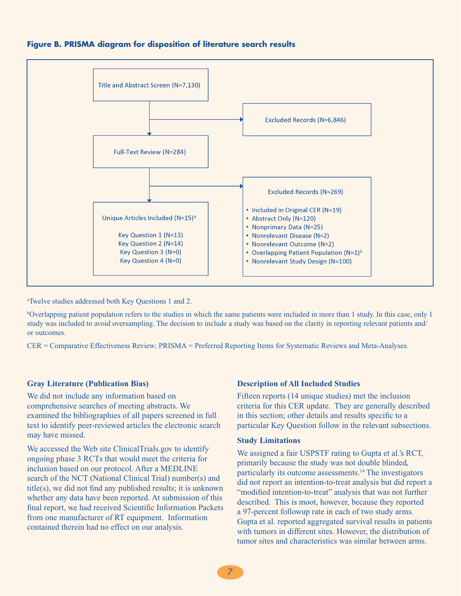



a Twelve studies addressed both Key Questions 1 and 2.

b Overlapping patient population refers to the studies in which the same patients were included in more than 1 study. In this case, only 1 study was included to avoid oversampling. The decision to include a study was based on the clarity in reporting relevant patients and/ or outcomes.

CER = Comparative Effectiveness Review; PRISMA = Preferred Reporting Items for Systematic Reviews and Meta-Analyses.

#### **Gray Literature (Publication Bias)**

We did not include any information based on comprehensive searches of meeting abstracts. We examined the bibliographies of all papers screened in full text to identify peer-reviewed articles the electronic search may have missed.

We accessed the Web site ClinicalTrials.gov to identify ongoing phase 3 RCTs that would meet the criteria for inclusion based on our protocol. After a MEDLINE search of the NCT (National Clinical Trial) number(s) and title(s), we did not find any published results; it is unknown whether any data have been reported. At submission of this final report, we had received Scientific Information Packets from one manufacturer of RT equipment. Information contained therein had no effect on our analysis.

#### **Description of All Included Studies**

Fifteen reports (14 unique studies) met the inclusion criteria for this CER update. They are generally described in this section; other details and results specific to a particular Key Question follow in the relevant subsections.

#### **Study Limitations**

We assigned a fair USPSTF rating to Gupta et al.'s RCT, primarily because the study was not double blinded, particularly its outcome assessments.14 The investigators did not report an intention-to-treat analysis but did report a "modified intention-to-treat" analysis that was not further described. This is moot, however, because they reported a 97-percent followup rate in each of two study arms. Gupta et al. reported aggregated survival results in patients with tumors in different sites. However, the distribution of tumor sites and characteristics was similar between arms.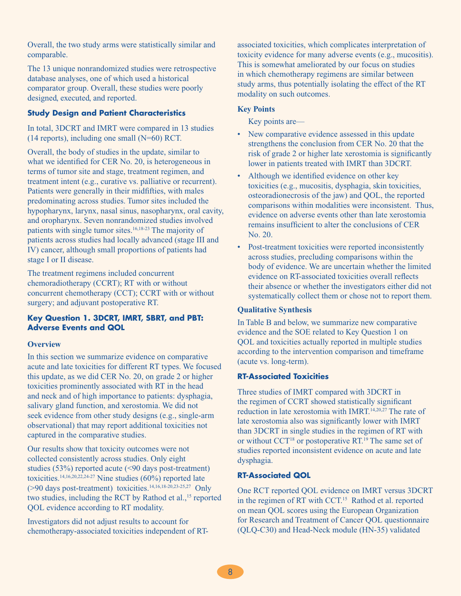Overall, the two study arms were statistically similar and comparable.

The 13 unique nonrandomized studies were retrospective database analyses, one of which used a historical comparator group. Overall, these studies were poorly designed, executed, and reported.

#### **Study Design and Patient Characteristics**

In total, 3DCRT and IMRT were compared in 13 studies (14 reports), including one small (N=60) RCT.

Overall, the body of studies in the update, similar to what we identified for CER No. 20, is heterogeneous in terms of tumor site and stage, treatment regimen, and treatment intent (e.g., curative vs. palliative or recurrent). Patients were generally in their midfifties, with males predominating across studies. Tumor sites included the hypopharynx, larynx, nasal sinus, nasopharynx, oral cavity, and oropharynx. Seven nonrandomized studies involved patients with single tumor sites.16,18-23 The majority of patients across studies had locally advanced (stage III and IV) cancer, although small proportions of patients had stage I or II disease.

The treatment regimens included concurrent chemoradiotherapy (CCRT); RT with or without concurrent chemotherapy (CCT); CCRT with or without surgery; and adjuvant postoperative RT.

#### **Key Question 1. 3DCRT, IMRT, SBRT, and PBT: Adverse Events and QOL**

#### **Overview**

In this section we summarize evidence on comparative acute and late toxicities for different RT types. We focused this update, as we did CER No. 20, on grade 2 or higher toxicities prominently associated with RT in the head and neck and of high importance to patients: dysphagia, salivary gland function, and xerostomia. We did not seek evidence from other study designs (e.g., single-arm observational) that may report additional toxicities not captured in the comparative studies.

Our results show that toxicity outcomes were not collected consistently across studies. Only eight studies (53%) reported acute (<90 days post-treatment) toxicities.<sup>14,16,20,22,24-27</sup> Nine studies (60%) reported late (>90 days post-treatment) toxicities.14,16,18-20,23-25,27 Only two studies, including the RCT by Rathod et al.,<sup>15</sup> reported QOL evidence according to RT modality.

Investigators did not adjust results to account for chemotherapy-associated toxicities independent of RT-

associated toxicities, which complicates interpretation of toxicity evidence for many adverse events (e.g., mucositis). This is somewhat ameliorated by our focus on studies in which chemotherapy regimens are similar between study arms, thus potentially isolating the effect of the RT modality on such outcomes.

#### **Key Points**

Key points are—

- New comparative evidence assessed in this update strengthens the conclusion from CER No. 20 that the risk of grade 2 or higher late xerostomia is significantly lower in patients treated with IMRT than 3DCRT.
- Although we identified evidence on other key toxicities (e.g., mucositis, dysphagia, skin toxicities, osteoradionecrosis of the jaw) and QOL, the reported comparisons within modalities were inconsistent. Thus, evidence on adverse events other than late xerostomia remains insufficient to alter the conclusions of CER No. 20.
- Post-treatment toxicities were reported inconsistently across studies, precluding comparisons within the body of evidence. We are uncertain whether the limited evidence on RT-associated toxicities overall reflects their absence or whether the investigators either did not systematically collect them or chose not to report them.

#### **Qualitative Synthesis**

In Table B and below, we summarize new comparative evidence and the SOE related to Key Question 1 on QOL and toxicities actually reported in multiple studies according to the intervention comparison and timeframe (acute vs. long-term).

#### **RT-Associated Toxicities**

Three studies of IMRT compared with 3DCRT in the regimen of CCRT showed statistically significant reduction in late xerostomia with IMRT.14,20,27 The rate of late xerostomia also was significantly lower with IMRT than 3DCRT in single studies in the regimen of RT with or without CCT18 or postoperative RT.19 The same set of studies reported inconsistent evidence on acute and late dysphagia.

#### **RT-Associated QOL**

One RCT reported QOL evidence on IMRT versus 3DCRT in the regimen of RT with CCT.<sup>15</sup> Rathod et al. reported on mean QOL scores using the European Organization for Research and Treatment of Cancer QOL questionnaire (QLQ-C30) and Head-Neck module (HN-35) validated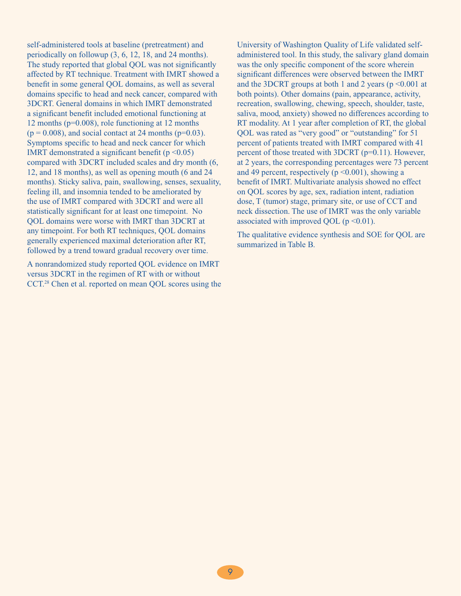self-administered tools at baseline (pretreatment) and periodically on followup (3, 6, 12, 18, and 24 months). The study reported that global QOL was not significantly affected by RT technique. Treatment with IMRT showed a benefit in some general QOL domains, as well as several domains specific to head and neck cancer, compared with 3DCRT. General domains in which IMRT demonstrated a significant benefit included emotional functioning at 12 months (p=0.008), role functioning at 12 months  $(p = 0.008)$ , and social contact at 24 months ( $p=0.03$ ). Symptoms specific to head and neck cancer for which IMRT demonstrated a significant benefit ( $p \le 0.05$ ) compared with 3DCRT included scales and dry month (6, 12, and 18 months), as well as opening mouth (6 and 24 months). Sticky saliva, pain, swallowing, senses, sexuality, feeling ill, and insomnia tended to be ameliorated by the use of IMRT compared with 3DCRT and were all statistically significant for at least one timepoint. No QOL domains were worse with IMRT than 3DCRT at any timepoint. For both RT techniques, QOL domains generally experienced maximal deterioration after RT, followed by a trend toward gradual recovery over time.

A nonrandomized study reported QOL evidence on IMRT versus 3DCRT in the regimen of RT with or without CCT.28 Chen et al. reported on mean QOL scores using the

University of Washington Quality of Life validated selfadministered tool. In this study, the salivary gland domain was the only specific component of the score wherein significant differences were observed between the IMRT and the 3DCRT groups at both 1 and 2 years ( $p \le 0.001$  at both points). Other domains (pain, appearance, activity, recreation, swallowing, chewing, speech, shoulder, taste, saliva, mood, anxiety) showed no differences according to RT modality. At 1 year after completion of RT, the global QOL was rated as "very good" or "outstanding" for 51 percent of patients treated with IMRT compared with 41 percent of those treated with 3DCRT (p=0.11). However, at 2 years, the corresponding percentages were 73 percent and 49 percent, respectively ( $p \le 0.001$ ), showing a benefit of IMRT. Multivariate analysis showed no effect on QOL scores by age, sex, radiation intent, radiation dose, T (tumor) stage, primary site, or use of CCT and neck dissection. The use of IMRT was the only variable associated with improved OOL ( $p \le 0.01$ ).

The qualitative evidence synthesis and SOE for QOL are summarized in Table B.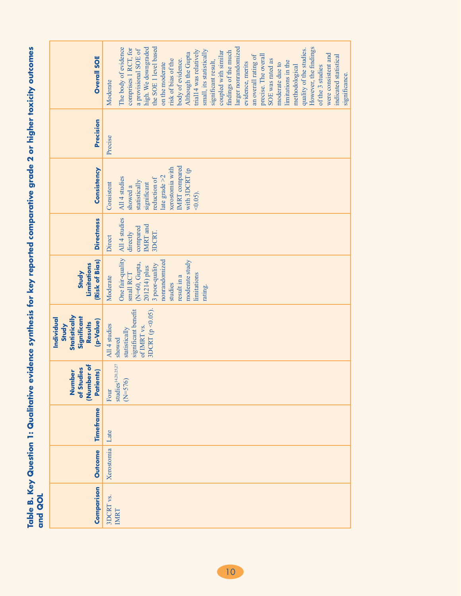| <b>Overall SOE</b>                                                                        | the SOE 1 level based<br>larger nonrandomized<br>high. We downgraded<br>The body of evidence<br>However, the findings<br>comprises 1 RCT, for<br>a provisional SOE of<br>quality of the studies.<br>trial14 was relatively<br>small, its statistically<br>coupled with similar<br>findings of the much<br>Although the Gupta<br>were consistent and<br>an overall rating of<br>precise. The overall<br>indicated statistical<br>risk of bias of the<br>body of evidence.<br>SOE was rated as<br>significant result,<br>limitations in the<br>evidence, merits<br>on the moderate<br>moderate due to<br>methodological<br>of the 3 studies<br>significance.<br>Moderate |
|-------------------------------------------------------------------------------------------|------------------------------------------------------------------------------------------------------------------------------------------------------------------------------------------------------------------------------------------------------------------------------------------------------------------------------------------------------------------------------------------------------------------------------------------------------------------------------------------------------------------------------------------------------------------------------------------------------------------------------------------------------------------------|
| Precision                                                                                 | Precise                                                                                                                                                                                                                                                                                                                                                                                                                                                                                                                                                                                                                                                                |
| Consistency                                                                               | IMRT compared<br>xerostomia with<br>with 3DCRT (p<br>late grade $>2$<br>All 4 studies<br>reduction of<br>statistically<br>significant<br>Consistent<br>showed a<br>$(0.05)$ .                                                                                                                                                                                                                                                                                                                                                                                                                                                                                          |
| <b>Directness</b>                                                                         | All 4 studies<br><b>IMRT</b> and<br>compared<br>3DCRT.<br>directly<br>Direct                                                                                                                                                                                                                                                                                                                                                                                                                                                                                                                                                                                           |
| (Risk of Bias)<br>Limitations<br>Study                                                    | One fair-quality<br>nonrandomized<br>moderate study<br>N=60, Gupta,<br>3 poor-quality<br>201214) plus<br>limitations<br>small RCT<br>result in a<br>Moderate<br>studies<br>rating.                                                                                                                                                                                                                                                                                                                                                                                                                                                                                     |
| Statistically<br>Individual<br>Significant<br>(p-Value)<br><b>Results</b><br><b>Study</b> | 3DCRT ( $p \le 0.05$ ).<br>significant benefit<br>All 4 studies<br>of IMRT vs.<br>statistically<br>showed                                                                                                                                                                                                                                                                                                                                                                                                                                                                                                                                                              |
| (Number of<br>of Studies<br>Parients)<br>Number                                           | ${\bf studies}^{14,20,25,27}$<br>$(N = 576)$<br>Four                                                                                                                                                                                                                                                                                                                                                                                                                                                                                                                                                                                                                   |
| Timeframe                                                                                 | Late                                                                                                                                                                                                                                                                                                                                                                                                                                                                                                                                                                                                                                                                   |
| <b>Outcome</b>                                                                            | Xerostomia                                                                                                                                                                                                                                                                                                                                                                                                                                                                                                                                                                                                                                                             |
| Comparison                                                                                | 3DCRT vs.<br>IMRT                                                                                                                                                                                                                                                                                                                                                                                                                                                                                                                                                                                                                                                      |

Table B. Key Question 1: Qualitative evidence synthesis for key reported comparative grade 2 or higher toxicity outcomes<br>and QOL **Table B. Key Question 1: Qualitative evidence synthesis for key reported comparative grade 2 or higher toxicity outcomes and QOL**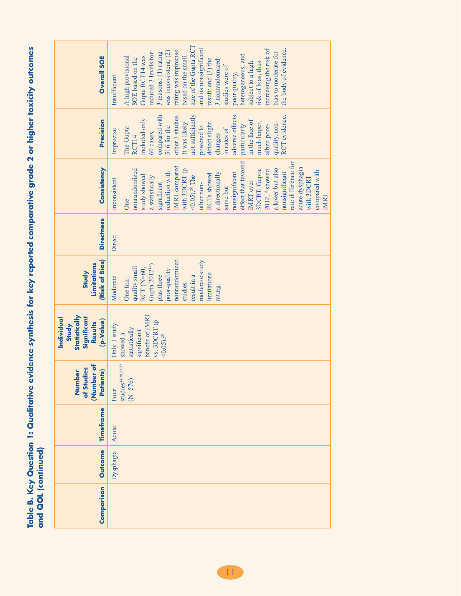Table B. Key Question 1: Qualitative evidence synthesis for key reported comparative grade 2 or higher toxicity outcomes<br>and QOL (continued) **Table B. Key Question 1: Qualitative evidence synthesis for key reported comparative grade 2 or higher toxicity outcomes and QOL (continued)**

| <b>Overall SOE</b>                                                                 | size of the Gupta RCT<br>and its nonsignificant<br>increasing the risk of<br>the body of evidence.<br>rating was imprecise<br>was inconsistent; (2)<br>bias to moderate for<br>3 reasons: (1) rating<br>reduced 3 levels for<br>heterogeneous, and<br>Gupta RCT14 was<br>A high provisional<br>based on the small<br>SOE based on the<br>result; and (3) the<br>3 nonrandomized<br>risk of bias, thus<br>subject to a high<br>studies were of<br>poor quality,<br>Insufficient |
|------------------------------------------------------------------------------------|--------------------------------------------------------------------------------------------------------------------------------------------------------------------------------------------------------------------------------------------------------------------------------------------------------------------------------------------------------------------------------------------------------------------------------------------------------------------------------|
| Precision                                                                          | adverse effects,<br>compared with<br>not sufficiently<br>other 3 studies.<br>RCT evidence.<br>included only<br>in the face of<br>quality, non-<br>It was likely<br>much larger,<br>detect slight<br>516 for the<br>particularly<br>albeit poor-<br>powered to<br>The Gupta<br>in rates of<br>Imprecise<br>60 cases,<br>changes<br>RCT14                                                                                                                                        |
| Consistency                                                                        | effect that favored<br>rate difference for<br>IMRT compared<br>acute dysphagia<br>a lower but also<br>with 3DCRT (p<br>nonrandomized<br>3DCRT. Gupta,<br>$201214$ showed<br>compared with<br>reduction with<br>nonsignificant<br>a directionally<br>nonsignificant<br>RCTs showed<br>study showed<br>$<$ 0.05). <sup>20</sup> The<br>a statistically<br>with 3DCRT<br>Inconsistent<br>IMRT over<br>other non-<br>significant<br>same but<br>IMRT.<br>One                       |
| <b>Directness</b>                                                                  | Direct                                                                                                                                                                                                                                                                                                                                                                                                                                                                         |
| (Risk of Bias)<br>Limitations<br>Study                                             | nonrandomized<br>moderate study<br>Gupta 2012 <sup>14</sup> )<br>quality small<br>RCT <sub>(N=60</sub> ,<br>poor-quality<br>limitations<br>plus three<br>result in a<br>Moderate<br>One fair-<br>studies<br>rating.                                                                                                                                                                                                                                                            |
| Statistically<br>Significant<br>Individual<br>(p-Value)<br><b>Results</b><br>Study | benefit of IMRT<br>vs. 3DCRT (p<br>Only 1 study<br>statistically<br>significant<br>showed a<br>$<0.05$ ). <sup>20</sup>                                                                                                                                                                                                                                                                                                                                                        |
| (Number of<br>of Studies<br>Parients)<br><b>Number</b>                             | $\textbf{studies}^{14,20,25,27}$<br>$(N=576)$<br>Four                                                                                                                                                                                                                                                                                                                                                                                                                          |
| Timeframe                                                                          | Acute                                                                                                                                                                                                                                                                                                                                                                                                                                                                          |
| <b>Outcome</b>                                                                     | Dysphagia                                                                                                                                                                                                                                                                                                                                                                                                                                                                      |
| Comparison                                                                         |                                                                                                                                                                                                                                                                                                                                                                                                                                                                                |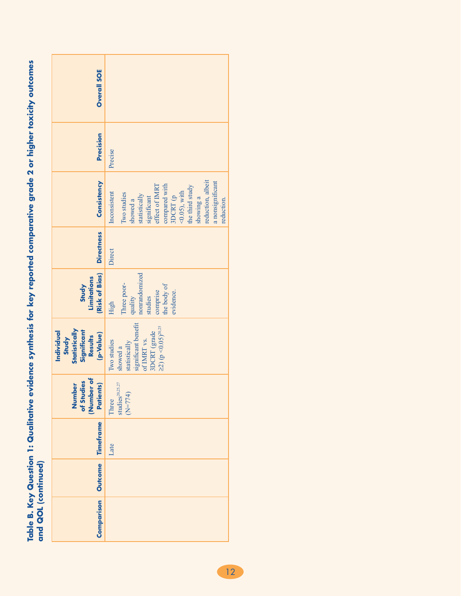| <b>Overall SOE</b>                                                          |                                                                                                                                                                                                                                               |
|-----------------------------------------------------------------------------|-----------------------------------------------------------------------------------------------------------------------------------------------------------------------------------------------------------------------------------------------|
| Precision                                                                   | Precise                                                                                                                                                                                                                                       |
| Consistency                                                                 | reduction, albeit<br>a nonsignificant<br>effect of IMRT<br>compared with<br>$3\,\mathrm{DCRT}$ (p<br>the third study<br>$(0.05)$ , with<br>Inconsistent<br>Two studies<br>statistically<br>significant<br>showing a<br>showed a<br>reduction. |
| <b>Directness</b>                                                           | Direct                                                                                                                                                                                                                                        |
| (Risk of Bias)<br>Limitations<br>Study                                      | nonrandomized<br>Three poor-<br>the body of<br>comprise<br>evidence.<br>studies<br>quality<br>High                                                                                                                                            |
| Statistically<br>Individual<br>Significant<br>Results<br>(p-Value)<br>Study | significant benefit<br>of IMRT vs.<br>$\geq$ 2) (p < 0.05) <sup>20,25</sup><br>3DCRT (grade<br>statistically<br>Two studies<br>showed a                                                                                                       |
| of Studies<br>(Number of<br>Patients)<br><b>Number</b>                      | $\mathrm studies^{20,25,27}$<br>$N = 774$<br>Three                                                                                                                                                                                            |
| Outcome   Timeframe                                                         | Late                                                                                                                                                                                                                                          |
|                                                                             |                                                                                                                                                                                                                                               |
| <b>Comparison</b>                                                           |                                                                                                                                                                                                                                               |

Table B. Key Question 1: Qualitative evidence synthesis for key reported comparative grade 2 or higher toxicity outcomes<br>and QOL (continued) **Table B. Key Question 1: Qualitative evidence synthesis for key reported comparative grade 2 or higher toxicity outcomes and QOL (continued)**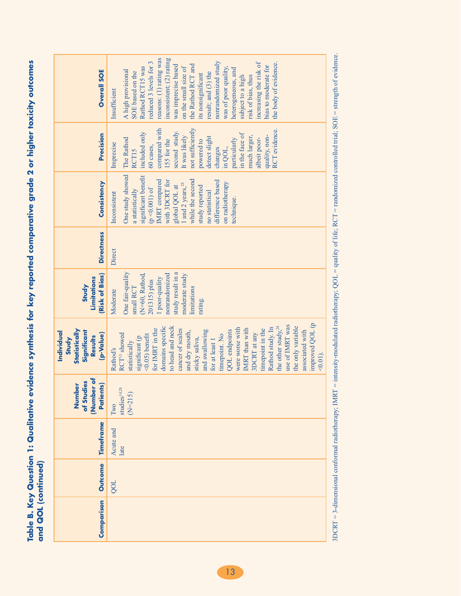Table B. Key Question 1: Qualitative evidence synthesis for key reported comparative grade 2 or higher toxicity outcomes<br>and QOL (continued) **Table B. Key Question 1: Qualitative evidence synthesis for key reported comparative grade 2 or higher toxicity outcomes and QOL (continued)**

| <b>Overall SOE</b>                                                                 | reasons: (1) rating was<br>inconsistent; (2) rating<br>reduced 3 levels for 3<br>nonrandomized study<br>increasing the risk of<br>the body of evidence.<br>the Rathod RCT and<br>was imprecise based<br>bias to moderate for<br>Rathod RCT15 was<br>on the small size of<br>was of poor quality,<br>heterogeneous, and<br>A high provisional<br>SOE based on the<br>result; and (3) the<br>its nonsignificant<br>risk of bias, thus<br>subject to a high<br>Insufficient                                                 |
|------------------------------------------------------------------------------------|--------------------------------------------------------------------------------------------------------------------------------------------------------------------------------------------------------------------------------------------------------------------------------------------------------------------------------------------------------------------------------------------------------------------------------------------------------------------------------------------------------------------------|
| Precision                                                                          | compared with<br>not sufficiently<br>RCT evidence.<br>second study.<br>included only<br>in the face of<br>quality, non-<br>much larger,<br>It was likely<br>detect slight<br>The Rathod<br>albeit poor-<br>particularly<br>155 for the<br>powered to<br>Imprecise<br>60 cases,<br>in QOL,<br>changes<br>RCT15                                                                                                                                                                                                            |
| Consistency                                                                        | One study showed<br>significant benefit<br>while the second<br>IMRT compared<br>difference based<br>with 3DCRT for<br>on radiotherapy<br>1 and 2 years, $2^8$<br>global QOL at<br>study reported<br>$(p < 0.001)$ of<br>a statistically<br>no statistical<br>Inconsistent<br>technique.                                                                                                                                                                                                                                  |
| <b>Directness</b>                                                                  | Direct                                                                                                                                                                                                                                                                                                                                                                                                                                                                                                                   |
| (Risk of Bias)<br>Limitations<br>Study                                             | One fair-quality<br>study result in a<br>nonrandomized<br>moderate study<br>(N=60, Rathod,<br>1 poor-quality<br>201315) plus<br>small RCT<br>limitations<br>Moderate<br>rating.                                                                                                                                                                                                                                                                                                                                          |
| Statistically<br>Significant<br>Individual<br>(p-Value)<br><b>Results</b><br>Study | improved QOL (p<br>use of IMRT was<br>domains specific<br>the other study, <sup>28</sup><br>the only variable<br>to head and neck<br>were worse with<br>Rathod study. In<br>IMRT than with<br>for IMRT in the<br>cancer of scales<br>timepoint in the<br>QOL endpoints<br>and swallowing<br>associated with<br>and dry mouth,<br>3DCRT at any<br>RCT <sup>15</sup> showed<br>timepoint. No<br>$\leq 0.05$ ) benefit<br>significant (p<br>sticky saliva,<br>for at least 1<br>statistically<br>Rathod's<br>$\leq 0.01$ ). |
| (Number of<br>of Studies<br>Patients)<br>ber<br>n<br>Numb                          | studies <sup>14,28</sup><br>$(N=215)$<br>Two                                                                                                                                                                                                                                                                                                                                                                                                                                                                             |
| Timeframe                                                                          | Acute and<br>late                                                                                                                                                                                                                                                                                                                                                                                                                                                                                                        |
| <b>Outcome</b>                                                                     | OOL                                                                                                                                                                                                                                                                                                                                                                                                                                                                                                                      |
| Comparison                                                                         |                                                                                                                                                                                                                                                                                                                                                                                                                                                                                                                          |

3DCRT = 3-dimensional conformal radiotherapy; IMRT = intensity-modulated radiotherapy; QOL = quality of life; RCT = randomized controlled trial; SOE = strength of evidence. 3DCRT = 3-dimensional conformal radiotherapy; IMRT = intensity-modulated radiotherapy; QOL = quality of life; RCT = randomized controlled trial; SOE = strength of evidence.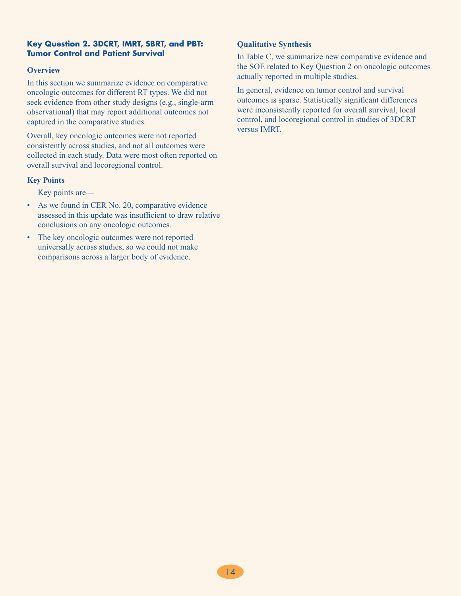#### **Key Question 2. 3DCRT, IMRT, SBRT, and PBT: Tumor Control and Patient Survival**

#### **Overview**

In this section we summarize evidence on comparative oncologic outcomes for different RT types. We did not seek evidence from other study designs (e.g., single-arm observational) that may report additional outcomes not captured in the comparative studies.

Overall, key oncologic outcomes were not reported consistently across studies, and not all outcomes were collected in each study. Data were most often reported on overall survival and locoregional control.

#### **Key Points**

Key points are—

- As we found in CER No. 20, comparative evidence assessed in this update was insufficient to draw relative conclusions on any oncologic outcomes.
- The key oncologic outcomes were not reported universally across studies, so we could not make comparisons across a larger body of evidence.

#### **Qualitative Synthesis**

In Table C, we summarize new comparative evidence and the SOE related to Key Question 2 on oncologic outcomes actually reported in multiple studies.

In general, evidence on tumor control and survival outcomes is sparse. Statistically significant differences were inconsistently reported for overall survival, local control, and locoregional control in studies of 3DCRT versus IMRT.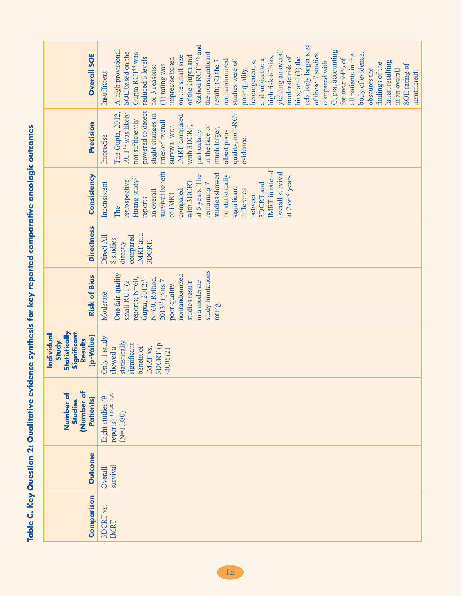| <b>CONTROL</b>           |
|--------------------------|
|                          |
|                          |
|                          |
| <b>Trey reported con</b> |
|                          |
| I                        |
| Contract Contract        |
|                          |
|                          |
|                          |
|                          |
|                          |

| <b>Overall SOE</b>                                                                 | Rathod RCT <sup>14,15</sup> and<br>relatively larger size<br>A high provisional<br>yielding an overall<br>Gupta, accounting<br>SOE based on the<br>the nonsignificant<br>body of evidence,<br>Gupta RCT <sup>14</sup> was<br>all patients in the<br>of these 7 studies<br>moderate risk of<br>on the small size<br>of the Gupta and<br>high risk of bias,<br>reduced 3 levels<br>bias; and (3) the<br>for over 94% of<br>imprecise based<br>and subject to a<br>nonrandomized<br>result; (2) the 7<br>studies were of<br>compared with<br>latter, resulting<br>heterogeneous,<br>findings of the<br>SOE rating of<br>(1) rating was<br>for 3 reasons:<br>poor quality,<br>obscures the<br>in an overall<br>insufficient.<br>Insufficient |
|------------------------------------------------------------------------------------|------------------------------------------------------------------------------------------------------------------------------------------------------------------------------------------------------------------------------------------------------------------------------------------------------------------------------------------------------------------------------------------------------------------------------------------------------------------------------------------------------------------------------------------------------------------------------------------------------------------------------------------------------------------------------------------------------------------------------------------|
| Precision                                                                          | powered to detect<br>The Gupta, 2012,<br>quality, non-RCT<br>RCT <sup>14</sup> was likely<br>slight changes in<br><b>IMRT</b> compared<br>not sufficiently<br>rates of overall<br>in the face of<br>survival with<br>with 3DCRT,<br>much larger,<br>particularly<br>albeit poor-<br>Imprecise<br>evidence.                                                                                                                                                                                                                                                                                                                                                                                                                               |
| Consistency                                                                        | IMRT in rate of<br>survival benefit<br>overall survival<br>studies showed<br>at 5 years. The<br>at 2 or 5 years.<br>no statistically<br>Huang study <sup>21</sup><br>retrospective<br>with 3DCRT<br>remaining 7<br>Inconsistent<br>3DCRT and<br>significant<br>difference<br>compared<br>an overall<br>of IMRT<br>between<br>reports<br>The                                                                                                                                                                                                                                                                                                                                                                                              |
| <b>Directness</b>                                                                  | IMRT and<br>compared<br>Direct All<br>8 studies<br>directly<br>3DCRT.                                                                                                                                                                                                                                                                                                                                                                                                                                                                                                                                                                                                                                                                    |
| <b>Risk of Bias</b>                                                                | study limitations<br>One fair-quality<br>nonrandomized<br>Gupta, 2012; <sup>14</sup><br>reports; N=60,<br>N=60, Rathod,<br>$2013^{15}$ ) plus 7<br>in a moderate<br>small RCT (2<br>studies result<br>poor-quality<br>Moderate<br>rating.                                                                                                                                                                                                                                                                                                                                                                                                                                                                                                |
| Statistically<br>Significant<br>Individual<br>(p-Value)<br><b>Results</b><br>Study | Only 1 study<br>statistically<br>3DCRT (p<br>significant<br>benefit of<br>IMRT vs.<br>showed a<br>< 0.0521                                                                                                                                                                                                                                                                                                                                                                                                                                                                                                                                                                                                                               |
| Number of<br>Number of<br>Patients)<br>Studies                                     | reports) <sup>14,15,20-25,27</sup><br>Eight studies (9<br>$(N=1,080)$                                                                                                                                                                                                                                                                                                                                                                                                                                                                                                                                                                                                                                                                    |
| <b>Outcome</b>                                                                     | survival<br>Overall                                                                                                                                                                                                                                                                                                                                                                                                                                                                                                                                                                                                                                                                                                                      |
| Comparison                                                                         | 3DCRT vs.<br>IMRT                                                                                                                                                                                                                                                                                                                                                                                                                                                                                                                                                                                                                                                                                                                        |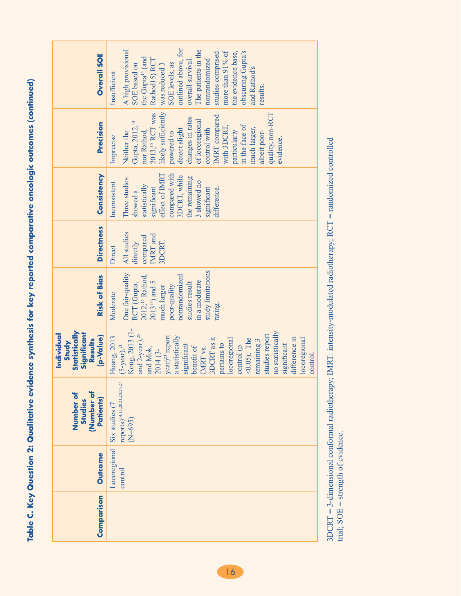Table C. Key Question 2: Qualitative evidence synthesis for key reported comparative oncologic outcomes (continued) **Table C. Key Question 2: Qualitative evidence synthesis for key reported comparative oncologic outcomes (continued)**

| <b>Overall SOE</b>                                                                 | outlined above, for<br>The patients in the<br>A high provisional<br>more than 91% of<br>studies comprised<br>the evidence base,<br>obscuring Gupta's<br>the Gupta <sup>14</sup> (and<br>Rathod15) RCT<br>overall survival.<br>nonrandomized<br>SOE levels, as<br>was reduced 3<br>SOE based on<br>and Rathod's<br>Insufficient<br>results                                                                   |
|------------------------------------------------------------------------------------|-------------------------------------------------------------------------------------------------------------------------------------------------------------------------------------------------------------------------------------------------------------------------------------------------------------------------------------------------------------------------------------------------------------|
| Precision                                                                          | likely sufficiently<br>2013, <sup>15</sup> RCT was<br>quality, non-RCT<br><b>IMRT</b> compared<br>changes in rates<br>of locoregional<br>Gupta, 2012, <sup>14</sup><br>in the face of<br>with 3DCRT,<br>much larger,<br>control with<br>detect slight<br>nor Rathod,<br>particularly<br>albeit poor-<br>Neither the<br>powered to<br>Imprecise<br>evidence.                                                 |
| Consistency                                                                        | effect of IMRT<br>compared with<br>3DCRT, while<br>the remaining<br>Three studies<br>3 showed no<br>Inconsistent<br>statistically<br>significant<br>significant<br>difference.<br>showed a                                                                                                                                                                                                                  |
| <b>Directness</b>                                                                  | All studies<br>IMRT and<br>compared<br>3DCRT.<br>directly<br>Direct                                                                                                                                                                                                                                                                                                                                         |
| <b>Risk of Bias</b>                                                                | study limitations<br>One fair-quality<br>nonrandomized<br>2012; <sup>14</sup> Rathod,<br>in a moderate<br>$2013^{15}$ ) and 5<br>RCT (Gupta,<br>studies result<br>poor-quality<br>much larger<br>Moderate<br>rating.                                                                                                                                                                                        |
| Statistically<br>Individual<br>Significant<br>(p-Value)<br><b>Results</b><br>Study | Kong, 2013 (1-<br>no statistically<br>and 2-year), <sup>25</sup><br>studies report<br>year) <sup>23</sup> report<br>a statistically<br>Huang, 2013<br>difference in<br>3DCRT as it<br>locoregional<br>locoregional<br>$<$ 0.05). The<br>remaining 3<br>pertains to<br>control (p<br>significant<br>significant<br>$(5 - year),$ <sup>21</sup><br>and Mok,<br>benefit of<br>IMRT vs.<br>2014 (3-<br>control. |
| (Number of<br>Patients)<br>Number of<br>Studies                                    | $reports)^{14,15,20,21,23,25,27}$<br>$Six$ studies $(7)$<br>$N = 695$                                                                                                                                                                                                                                                                                                                                       |
| <b>Outcome</b>                                                                     | Locoregional<br>control                                                                                                                                                                                                                                                                                                                                                                                     |
| Comparison                                                                         |                                                                                                                                                                                                                                                                                                                                                                                                             |

 $3DCRT = 3$ -dimensional conformal radiotherapy; IMRT: intensity-modulated radiotherapy;  $RCT =$  randomized controlled trial;  $SOE =$  strength of evidence. 3DCRT = 3-dimensional conformal radiotherapy; IMRT: intensity-modulated radiotherapy; RCT = randomized controlled trial; SOE = strength of evidence.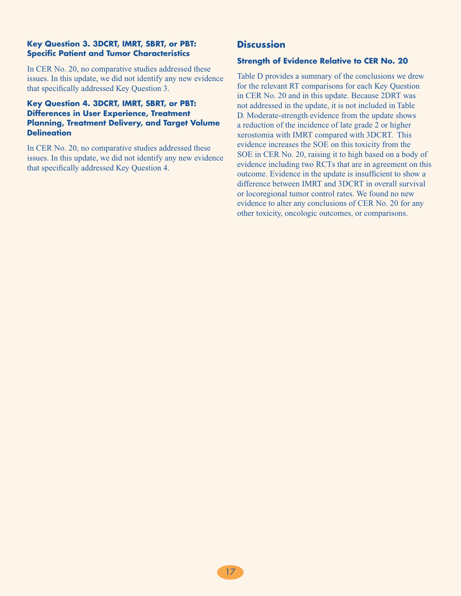#### **Key Question 3. 3DCRT, IMRT, SBRT, or PBT: Specific Patient and Tumor Characteristics**

In CER No. 20, no comparative studies addressed these issues. In this update, we did not identify any new evidence that specifically addressed Key Question 3.

#### **Key Question 4. 3DCRT, IMRT, SBRT, or PBT: Differences in User Experience, Treatment Planning, Treatment Delivery, and Target Volume Delineation**

In CER No. 20, no comparative studies addressed these issues. In this update, we did not identify any new evidence that specifically addressed Key Question 4.

# **Discussion**

#### **Strength of Evidence Relative to CER No. 20**

Table D provides a summary of the conclusions we drew for the relevant RT comparisons for each Key Question in CER No. 20 and in this update. Because 2DRT was not addressed in the update, it is not included in Table D. Moderate-strength evidence from the update shows a reduction of the incidence of late grade 2 or higher xerostomia with IMRT compared with 3DCRT. This evidence increases the SOE on this toxicity from the SOE in CER No. 20, raising it to high based on a body of evidence including two RCTs that are in agreement on this outcome. Evidence in the update is insufficient to show a difference between IMRT and 3DCRT in overall survival or locoregional tumor control rates. We found no new evidence to alter any conclusions of CER No. 20 for any other toxicity, oncologic outcomes, or comparisons.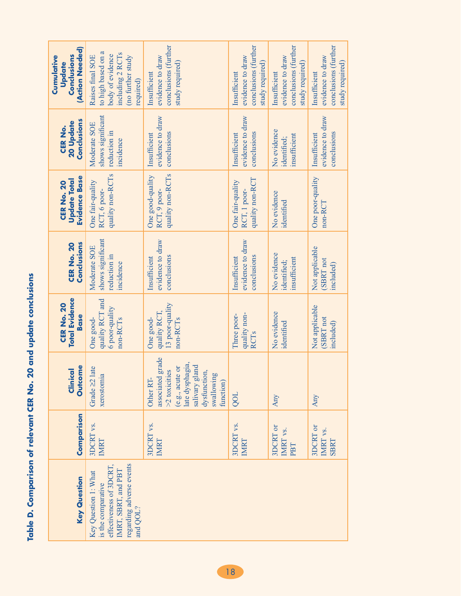| <b>Contract Lines</b>                  |
|----------------------------------------|
| י המאמר ה<br>n. 20 and updat           |
|                                        |
|                                        |
|                                        |
| <b>CERNO.</b>                          |
|                                        |
|                                        |
| <b>Auparison of relation</b><br>j<br>; |
| J                                      |
| Ú,                                     |

| (Action Needed)<br>Conclusions<br>Cumulative<br>Update           | to high based on a<br>including 2 RCTs<br>body of evidence<br>(no further study<br>Raises final SOE<br>required)                    | conclusions (further<br>evidence to draw<br>study required)<br>Insufficient                                                                            | conclusions (further<br>evidence to draw<br>study required)<br>Insufficient | conclusions (further<br>evidence to draw<br>study required)<br>Insufficient | conclusions (further<br>evidence to draw<br>study required)<br>Insufficient |
|------------------------------------------------------------------|-------------------------------------------------------------------------------------------------------------------------------------|--------------------------------------------------------------------------------------------------------------------------------------------------------|-----------------------------------------------------------------------------|-----------------------------------------------------------------------------|-----------------------------------------------------------------------------|
| Conclusions<br>20 Update<br>CER No.                              | shows significant<br>Moderate SOE<br>reduction in<br>incidence                                                                      | evidence to draw<br>conclusions<br>Insufficient                                                                                                        | evidence to draw<br>conclusions<br>Insufficient                             | No evidence<br>insufficient<br>identified;                                  | evidence to draw<br>conclusions<br>Insufficient                             |
| <b>Evidence Base</b><br><b>Update Total</b><br><b>CER No. 20</b> | quality non-RCTs<br>One fair-quality<br>RCT, 6 poor-                                                                                | quality non-RCTs<br>One good-quality<br>RCT, 9 poor-                                                                                                   | quality non-RCT<br>One fair-quality<br>RCT, 1 poor-                         | No evidence<br>identified                                                   | One poor-quality<br>non-RCT                                                 |
| Conclusions<br><b>CER No. 20</b>                                 | shows significant<br>Moderate SOE<br>reduction in<br>incidence                                                                      | evidence to draw<br>conclusions<br>Insufficient                                                                                                        | evidence to draw<br>conclusions<br>Insufficient                             | No evidence<br>insufficient<br>identified;                                  | Not applicable<br>(SBRT not<br>included)                                    |
| <b>Total Evidence</b><br><b>CER No. 20</b><br><b>Base</b>        | quality RCT and<br>6 poor-quality<br>non-RCT <sub>s</sub><br>One good-                                                              | 13 poor-quality<br>quality RCT,<br>One good-<br>non-RCT <sub>s</sub>                                                                                   | quality non-<br>Three poor-<br><b>RCTs</b>                                  | No evidence<br>identified                                                   | Not applicable<br>(SBRT not<br>included)                                    |
| <b>Outcome</b><br>Clinical                                       | late<br>xerostomia<br>Grade 22                                                                                                      | 1 grade<br>late dysphagia,<br>salivary gland<br>(e.g., acute or<br>>2 toxicities<br>dysfunction,<br>swallowing<br>Other RT-<br>associated<br>function) | <b>TOO</b>                                                                  | Any                                                                         | Any                                                                         |
| Comparison                                                       | 3DCRT vs.<br>IMRT                                                                                                                   | 3DCRT vs.<br><b>IMRT</b>                                                                                                                               | 3DCRT vs.<br>IMRT                                                           | 3DCRT or<br>IMRT vs.<br>PBT                                                 | 3DCRT or<br>IMRT vs.<br><b>SBRT</b>                                         |
| <b>Key Question</b>                                              | regarding adverse events<br>effectiveness of 3DCRT,<br>IMRT, SBRT, and PBT<br>Key Question 1: What<br>s the comparative<br>and QOL? |                                                                                                                                                        |                                                                             |                                                                             |                                                                             |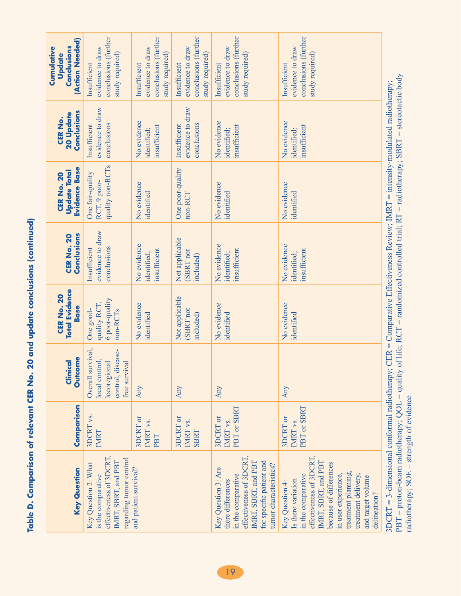| ֧֚֚֚֚֚֚֚֚֚֚֚֚֚֚֚֚֚֚֚֚֚֚֚֚֞֝֓֡֡֡֡֡֞֡֡֡֡֡֬ |
|------------------------------------------|
|                                          |
|                                          |
|                                          |
|                                          |
|                                          |
|                                          |
|                                          |
|                                          |
|                                          |
|                                          |
|                                          |
|                                          |
|                                          |
|                                          |
|                                          |
|                                          |
|                                          |
|                                          |
|                                          |
|                                          |
|                                          |
|                                          |
|                                          |
|                                          |
|                                          |
|                                          |
|                                          |
| $\sim$ 20 and upo.                       |
|                                          |
|                                          |
|                                          |
| i<br>I<br>I<br>I<br>I                    |
|                                          |
|                                          |
|                                          |
|                                          |
|                                          |
|                                          |
|                                          |
|                                          |
|                                          |
|                                          |
|                                          |
|                                          |
|                                          |
| <b>Selet relate</b>                      |
| י<br>5<br>2                              |
|                                          |
|                                          |
| ĺ                                        |
|                                          |
|                                          |
|                                          |
|                                          |
|                                          |
|                                          |
|                                          |
|                                          |
| Ŭ<br>≏                                   |
|                                          |
|                                          |
|                                          |

| (Action Needed)<br>Conclusions<br>Cumulative<br>Update    | conclusions (further<br>evidence to draw<br>study required)<br>Insufficient                                                                      | conclusions (further<br>evidence to draw<br>study required)<br>Insufficient | conclusions (further<br>evidence to draw<br>study required)<br>Insufficient | conclusions (further<br>evidence to draw<br>study required)<br>Insufficient                                                                                            | conclusions (further<br>evidence to draw<br>study required)<br>Insufficient                                                                                                                                                                       |                                                                                  |
|-----------------------------------------------------------|--------------------------------------------------------------------------------------------------------------------------------------------------|-----------------------------------------------------------------------------|-----------------------------------------------------------------------------|------------------------------------------------------------------------------------------------------------------------------------------------------------------------|---------------------------------------------------------------------------------------------------------------------------------------------------------------------------------------------------------------------------------------------------|----------------------------------------------------------------------------------|
| Conclusions<br>20 Update<br>CER No.                       | evidence to draw<br>conclusions<br>Insufficient                                                                                                  | No evidence<br>insufficient<br>identified;                                  | evidence to draw<br>conclusions<br>Insufficient                             | No evidence<br>insufficient<br>identified;                                                                                                                             | No evidence<br>insufficient<br>identified;                                                                                                                                                                                                        |                                                                                  |
| <b>Evidence Base</b><br><b>Update Total</b><br>CER No. 20 | quality non-RCTs<br>One fair-quality<br>RCT, 9 poor-                                                                                             | No evidence<br>identified                                                   | One poor-quality<br>non-RCT                                                 | No evidence<br>identified                                                                                                                                              | No evidence<br>identified                                                                                                                                                                                                                         | CER = Comparative Effectiveness Review; IMRT = intensity-modulated radiotherapy; |
| Conclusions<br><b>CER No. 20</b>                          | evidence to draw<br>conclusions<br>Insufficient                                                                                                  | No evidence<br>insufficient<br>identified;                                  | Not applicable<br>SBRT not<br>included)                                     | No evidence<br>insufficient<br>identified;                                                                                                                             | No evidence<br>insufficient<br>identified;                                                                                                                                                                                                        |                                                                                  |
| <b>Total Evidence</b><br><b>CER No. 20</b><br><b>Base</b> | 6 poor-quality<br>quality RCT,<br>One good-<br>non-RCT <sub>s</sub>                                                                              | No evidence<br>identified                                                   | Not applicable<br>(SBRT not<br>included)                                    | No evidence<br>identified                                                                                                                                              | No evidence<br>identified                                                                                                                                                                                                                         |                                                                                  |
| <b>Outcome</b><br><b>Clinical</b>                         | Overall survival,<br>control, disease-<br>local control,<br>locoregional<br>free survival                                                        | Any                                                                         | Any                                                                         | Any                                                                                                                                                                    | Any                                                                                                                                                                                                                                               |                                                                                  |
| Comparison                                                | 3DCRT vs.<br>IMRT                                                                                                                                | 3DCRT or<br>IMRT vs.<br>PBT                                                 | 3DCRT or<br>IMRT vs.<br>SBRT                                                | PBT or SBRT<br>3DCRT or<br>IMRT vs.                                                                                                                                    | PBT or SBRT<br>3DCRT or<br>IMRT <sub>vs</sub> .                                                                                                                                                                                                   |                                                                                  |
| <b>Key Question</b>                                       | effectiveness of 3DCRT,<br>regarding tumor control<br>IMRT, SBRT, and PBT<br>Key Question 2: What<br>and patient survival?<br>is the comparative |                                                                             |                                                                             | effectiveness of 3DCRT,<br>IMRT, SBRT, and PBT<br>for specific patient and<br>tumor characteristics?<br>Key Question 3: Are<br>in the comparative<br>there differences | effectiveness of 3DCRT,<br>IMRT, SBRT, and PBT<br>because of differences<br>treatment planning,<br>in user experience,<br>treatment delivery,<br>in the comparative<br>and target volume<br>Is there variation<br>Key Question 4:<br>delineation? | 3DCRT = 3-dimensional conformal radiotherapy;                                    |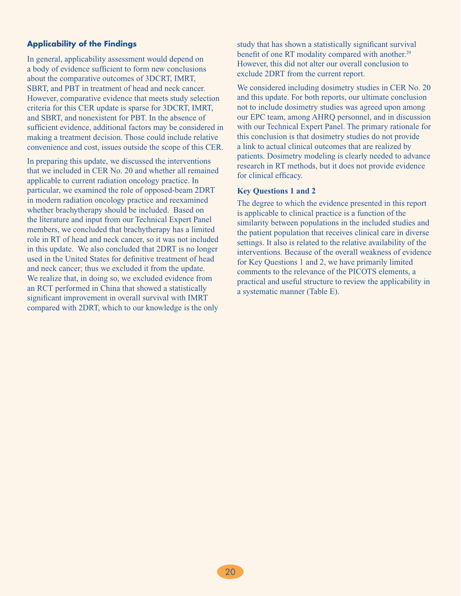#### **Applicability of the Findings**

In general, applicability assessment would depend on a body of evidence sufficient to form new conclusions about the comparative outcomes of 3DCRT, IMRT, SBRT, and PBT in treatment of head and neck cancer. However, comparative evidence that meets study selection criteria for this CER update is sparse for 3DCRT, IMRT, and SBRT, and nonexistent for PBT. In the absence of sufficient evidence, additional factors may be considered in making a treatment decision. Those could include relative convenience and cost, issues outside the scope of this CER.

In preparing this update, we discussed the interventions that we included in CER No. 20 and whether all remained applicable to current radiation oncology practice. In particular, we examined the role of opposed-beam 2DRT in modern radiation oncology practice and reexamined whether brachytherapy should be included. Based on the literature and input from our Technical Expert Panel members, we concluded that brachytherapy has a limited role in RT of head and neck cancer, so it was not included in this update. We also concluded that 2DRT is no longer used in the United States for definitive treatment of head and neck cancer; thus we excluded it from the update. We realize that, in doing so, we excluded evidence from an RCT performed in China that showed a statistically significant improvement in overall survival with IMRT compared with 2DRT, which to our knowledge is the only study that has shown a statistically significant survival benefit of one RT modality compared with another.<sup>29</sup> However, this did not alter our overall conclusion to exclude 2DRT from the current report.

We considered including dosimetry studies in CER No. 20 and this update. For both reports, our ultimate conclusion not to include dosimetry studies was agreed upon among our EPC team, among AHRQ personnel, and in discussion with our Technical Expert Panel. The primary rationale for this conclusion is that dosimetry studies do not provide a link to actual clinical outcomes that are realized by patients. Dosimetry modeling is clearly needed to advance research in RT methods, but it does not provide evidence for clinical efficacy.

#### **Key Questions 1 and 2**

The degree to which the evidence presented in this report is applicable to clinical practice is a function of the similarity between populations in the included studies and the patient population that receives clinical care in diverse settings. It also is related to the relative availability of the interventions. Because of the overall weakness of evidence for Key Questions 1 and 2, we have primarily limited comments to the relevance of the PICOTS elements, a practical and useful structure to review the applicability in a systematic manner (Table E).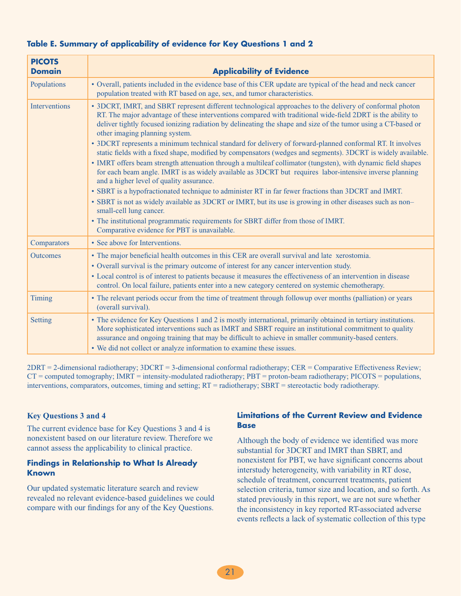| <b>PICOTS</b><br><b>Domain</b> | <b>Applicability of Evidence</b>                                                                                                                                                                                                                                                                                                                                                                                                                                                                                                                                                                                                                                                                                                                                                                                                                                                                                                                                                                                                                                                                                                                                                                                                                                  |  |
|--------------------------------|-------------------------------------------------------------------------------------------------------------------------------------------------------------------------------------------------------------------------------------------------------------------------------------------------------------------------------------------------------------------------------------------------------------------------------------------------------------------------------------------------------------------------------------------------------------------------------------------------------------------------------------------------------------------------------------------------------------------------------------------------------------------------------------------------------------------------------------------------------------------------------------------------------------------------------------------------------------------------------------------------------------------------------------------------------------------------------------------------------------------------------------------------------------------------------------------------------------------------------------------------------------------|--|
| Populations                    | • Overall, patients included in the evidence base of this CER update are typical of the head and neck cancer<br>population treated with RT based on age, sex, and tumor characteristics.                                                                                                                                                                                                                                                                                                                                                                                                                                                                                                                                                                                                                                                                                                                                                                                                                                                                                                                                                                                                                                                                          |  |
| <b>Interventions</b>           | • 3DCRT, IMRT, and SBRT represent different technological approaches to the delivery of conformal photon<br>RT. The major advantage of these interventions compared with traditional wide-field 2DRT is the ability to<br>deliver tightly focused ionizing radiation by delineating the shape and size of the tumor using a CT-based or<br>other imaging planning system.<br>• 3DCRT represents a minimum technical standard for delivery of forward-planned conformal RT. It involves<br>static fields with a fixed shape, modified by compensators (wedges and segments). 3DCRT is widely available.<br>• IMRT offers beam strength attenuation through a multileaf collimator (tungsten), with dynamic field shapes<br>for each beam angle. IMRT is as widely available as 3DCRT but requires labor-intensive inverse planning<br>and a higher level of quality assurance.<br>• SBRT is a hypofractionated technique to administer RT in far fewer fractions than 3DCRT and IMRT.<br>• SBRT is not as widely available as 3DCRT or IMRT, but its use is growing in other diseases such as non-<br>small-cell lung cancer.<br>• The institutional programmatic requirements for SBRT differ from those of IMRT.<br>Comparative evidence for PBT is unavailable. |  |
| Comparators                    | • See above for Interventions.                                                                                                                                                                                                                                                                                                                                                                                                                                                                                                                                                                                                                                                                                                                                                                                                                                                                                                                                                                                                                                                                                                                                                                                                                                    |  |
| <b>Outcomes</b>                | • The major beneficial health outcomes in this CER are overall survival and late xerostomia.<br>• Overall survival is the primary outcome of interest for any cancer intervention study.<br>• Local control is of interest to patients because it measures the effectiveness of an intervention in disease<br>control. On local failure, patients enter into a new category centered on systemic chemotherapy.                                                                                                                                                                                                                                                                                                                                                                                                                                                                                                                                                                                                                                                                                                                                                                                                                                                    |  |
| <b>Timing</b>                  | • The relevant periods occur from the time of treatment through followup over months (palliation) or years<br>(overall survival).                                                                                                                                                                                                                                                                                                                                                                                                                                                                                                                                                                                                                                                                                                                                                                                                                                                                                                                                                                                                                                                                                                                                 |  |
| Setting                        | • The evidence for Key Questions 1 and 2 is mostly international, primarily obtained in tertiary institutions.<br>More sophisticated interventions such as IMRT and SBRT require an institutional commitment to quality<br>assurance and ongoing training that may be difficult to achieve in smaller community-based centers.<br>• We did not collect or analyze information to examine these issues.                                                                                                                                                                                                                                                                                                                                                                                                                                                                                                                                                                                                                                                                                                                                                                                                                                                            |  |

#### **Table E. Summary of applicability of evidence for Key Questions 1 and 2**

2DRT = 2-dimensional radiotherapy; 3DCRT = 3-dimensional conformal radiotherapy; CER = Comparative Effectiveness Review; CT = computed tomography; IMRT = intensity-modulated radiotherapy; PBT = proton-beam radiotherapy; PICOTS = populations, interventions, comparators, outcomes, timing and setting; RT = radiotherapy; SBRT = stereotactic body radiotherapy.

#### **Key Questions 3 and 4**

The current evidence base for Key Questions 3 and 4 is nonexistent based on our literature review. Therefore we cannot assess the applicability to clinical practice.

#### **Findings in Relationship to What Is Already Known**

Our updated systematic literature search and review revealed no relevant evidence-based guidelines we could compare with our findings for any of the Key Questions.

#### **Limitations of the Current Review and Evidence Base**

Although the body of evidence we identified was more substantial for 3DCRT and IMRT than SBRT, and nonexistent for PBT, we have significant concerns about interstudy heterogeneity, with variability in RT dose, schedule of treatment, concurrent treatments, patient selection criteria, tumor size and location, and so forth. As stated previously in this report, we are not sure whether the inconsistency in key reported RT-associated adverse events reflects a lack of systematic collection of this type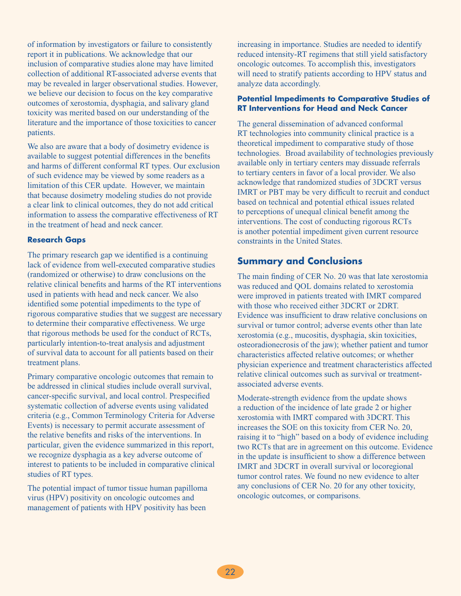of information by investigators or failure to consistently report it in publications. We acknowledge that our inclusion of comparative studies alone may have limited collection of additional RT-associated adverse events that may be revealed in larger observational studies. However, we believe our decision to focus on the key comparative outcomes of xerostomia, dysphagia, and salivary gland toxicity was merited based on our understanding of the literature and the importance of those toxicities to cancer patients.

We also are aware that a body of dosimetry evidence is available to suggest potential differences in the benefits and harms of different conformal RT types. Our exclusion of such evidence may be viewed by some readers as a limitation of this CER update. However, we maintain that because dosimetry modeling studies do not provide a clear link to clinical outcomes, they do not add critical information to assess the comparative effectiveness of RT in the treatment of head and neck cancer.

#### **Research Gaps**

The primary research gap we identified is a continuing lack of evidence from well-executed comparative studies (randomized or otherwise) to draw conclusions on the relative clinical benefits and harms of the RT interventions used in patients with head and neck cancer. We also identified some potential impediments to the type of rigorous comparative studies that we suggest are necessary to determine their comparative effectiveness. We urge that rigorous methods be used for the conduct of RCTs, particularly intention-to-treat analysis and adjustment of survival data to account for all patients based on their treatment plans.

Primary comparative oncologic outcomes that remain to be addressed in clinical studies include overall survival, cancer-specific survival, and local control. Prespecified systematic collection of adverse events using validated criteria (e.g., Common Terminology Criteria for Adverse Events) is necessary to permit accurate assessment of the relative benefits and risks of the interventions. In particular, given the evidence summarized in this report, we recognize dysphagia as a key adverse outcome of interest to patients to be included in comparative clinical studies of RT types.

The potential impact of tumor tissue human papilloma virus (HPV) positivity on oncologic outcomes and management of patients with HPV positivity has been

increasing in importance. Studies are needed to identify reduced intensity-RT regimens that still yield satisfactory oncologic outcomes. To accomplish this, investigators will need to stratify patients according to HPV status and analyze data accordingly.

#### **Potential Impediments to Comparative Studies of RT Interventions for Head and Neck Cancer**

The general dissemination of advanced conformal RT technologies into community clinical practice is a theoretical impediment to comparative study of those technologies. Broad availability of technologies previously available only in tertiary centers may dissuade referrals to tertiary centers in favor of a local provider. We also acknowledge that randomized studies of 3DCRT versus IMRT or PBT may be very difficult to recruit and conduct based on technical and potential ethical issues related to perceptions of unequal clinical benefit among the interventions. The cost of conducting rigorous RCTs is another potential impediment given current resource constraints in the United States.

# **Summary and Conclusions**

The main finding of CER No. 20 was that late xerostomia was reduced and QOL domains related to xerostomia were improved in patients treated with IMRT compared with those who received either 3DCRT or 2DRT. Evidence was insufficient to draw relative conclusions on survival or tumor control; adverse events other than late xerostomia (e.g., mucositis, dysphagia, skin toxicities, osteoradionecrosis of the jaw); whether patient and tumor characteristics affected relative outcomes; or whether physician experience and treatment characteristics affected relative clinical outcomes such as survival or treatmentassociated adverse events.

Moderate-strength evidence from the update shows a reduction of the incidence of late grade 2 or higher xerostomia with IMRT compared with 3DCRT. This increases the SOE on this toxicity from CER No. 20, raising it to "high" based on a body of evidence including two RCTs that are in agreement on this outcome. Evidence in the update is insufficient to show a difference between IMRT and 3DCRT in overall survival or locoregional tumor control rates. We found no new evidence to alter any conclusions of CER No. 20 for any other toxicity, oncologic outcomes, or comparisons.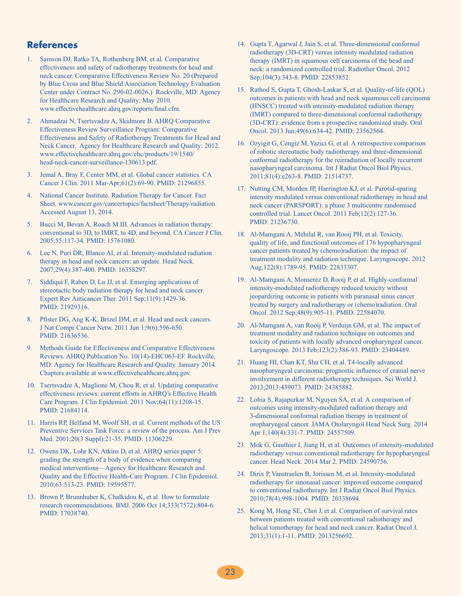### **References**

- 1. Samson DJ, Ratko TA, Rothenberg BM, et al. Comparative effectiveness and safety of radiotherapy treatments for head and neck cancer. Comparative Effectiveness Review No. 20 (Prepared by Blue Cross and Blue Shield Association Technology Evaluation Center under Contract No. 290-02-0026.) Rockville, MD: Agency for Healthcare Research and Quality; May 2010. www.effectivehealthcare.ahrq.gov/reports/final.cfm.
- 2. Ahmadzai N, Tsertsvadze A, Skidmore B. AHRQ Comparative Effectiveness Review Surveillance Program: Comparative Effectiveness and Safety of Radiotherapy Treatments for Head and Neck Cancer. Agency for Healthcare Research and Quality; 2012. www.effectivehealthcare.ahrq.gov/ehc/products/19/1540/ head-neck-cancer-surveillance-130613.pdf.
- 3. Jemal A, Bray F, Center MM, et al. Global cancer statistics. CA Cancer J Clin. 2011 Mar-Apr;61(2):69-90. PMID: 21296855.
- 4. National Cancer Institute. Radiation Therapy for Cancer. Fact Sheet. www.cancer.gov/cancertopics/factsheet/Therapy/radiation. Accessed August 13, 2014.
- 5. Bucci M, Bevan A, Roach M III. Advances in radiation therapy: conventional to 3D, to IMRT, to 4D, and beyond. CA Cancer J Clin. 2005;55:117-34. PMID: 15761080.
- 6. Lee N, Puri DR, Blanco AI, et al. Intensity-modulated radiation therapy in head and neck cancers: an update. Head Neck. 2007;29(4):387-400. PMID: 16358297.
- 7. Siddiqui F, Raben D, Lu JJ, et al. Emerging applications of stereotactic body radiation therapy for head and neck cancer. Expert Rev Anticancer Ther. 2011 Sep;11(9):1429-36. PMID: 21929316.
- 8. Pfister DG, Ang K-K, Brizel DM, et al. Head and neck cancers. J Nat Compr Cancer Netw. 2011 Jun 1;9(6):596-650. PMID: 21636536.
- 9. Methods Guide for Effectiveness and Comparative Effectiveness Reviews. AHRQ Publication No. 10(14)-EHC063-EF. Rockville, MD: Agency for Healthcare Research and Quality. January 2014. Chapters available at www.effectivehealthcare.ahrq.gov.
- 10. Tsertsvadze A, Maglione M, Chou R, et al. Updating comparative effectiveness reviews: current efforts in AHRQ's Effective Health Care Program. J Clin Epidemiol. 2011 Nov;64(11):1208-15. PMID: 21684114.
- 11. Harris RP, Helfand M, Woolf SH, et al. Current methods of the US Preventive Services Task Force: a review of the process. Am J Prev Med. 2001;20(3 Suppl):21-35. PMID: 11306229.
- 12. Owens DK, Lohr KN, Atkins D, et al. AHRQ series paper 5: grading the strength of a body of evidence when comparing medical interventions—Agency for Healthcare Research and Quality and the Effective Health-Care Program. J Clin Epidemiol. 2010;63:513-23. PMID: 19595577.
- 13. Brown P, Brunnhuber K, Chalkidou K, et al. How to formulate research recommendations. BMJ. 2006 Oct 14;333(7572):804-6. PMID: 17038740.
- 14. Gupta T, Agarwal J, Jain S, et al. Three-dimensional conformal radiotherapy (3D-CRT) versus intensity modulated radiation therapy (IMRT) in squamous cell carcinoma of the head and neck: a randomized controlled trial. Radiother Oncol. 2012 Sep;104(3):343-8. PMID: 22853852.
- 15. Rathod S, Gupta T, Ghosh-Laskar S, et al. Quality-of-life (QOL) outcomes in patients with head and neck squamous cell carcinoma (HNSCC) treated with intensity-modulated radiation therapy (IMRT) compared to three-dimensional conformal radiotherapy (3D-CRT): evidence from a prospective randomized study. Oral Oncol. 2013 Jun;49(6):634-42. PMID: 23562564.
- 16. Ozyigit G, Cengiz M, Yazici G, et al. A retrospective comparison of robotic stereotactic body radiotherapy and three-dimensional conformal radiotherapy for the reirradiation of locally recurrent nasopharyngeal carcinoma. Int J Radiat Oncol Biol Physics. 2011;81(4):e263-8. PMID: 21514737.
- 17. Nutting CM, Morden JP, Harrington KJ, et al. Parotid-sparing intensity modulated versus conventional radiotherapy in head and neck cancer (PARSPORT): a phase 3 multicentre randomised controlled trial. Lancet Oncol. 2011 Feb;12(2):127-36. PMID: 21236730.
- 18. Al-Mamgani A, Mehilal R, van Rooij PH, et al. Toxicity, quality of life, and functional outcomes of 176 hypopharyngeal cancer patients treated by (chemo)radiation: the impact of treatment modality and radiation technique. Laryngoscope. 2012 Aug;122(8):1789-95. PMID: 22833307.
- 19. Al-Mamgani A, Monserez D, Rooij P, et al. Highly-conformal intensity-modulated radiotherapy reduced toxicity without jeopardizing outcome in patients with paranasal sinus cancer treated by surgery and radiotherapy or (chemo)radiation. Oral Oncol. 2012 Sep;48(9):905-11. PMID: 22584070.
- 20. Al-Mamgani A, van Rooij P, Verduijn GM, et al. The impact of treatment modality and radiation technique on outcomes and toxicity of patients with locally advanced oropharyngeal cancer. Laryngoscope. 2013 Feb;123(2):386-93. PMID: 23404489.
- 21. Huang HI, Chan KT, Shu CH, et al. T4-locally advanced nasopharyngeal carcinoma: prognostic influence of cranial nerve involvement in different radiotherapy techniques. Sci World J. 2013;2013:439073. PMID: 24385882.
- 22. Lohia S, Rajapurkar M, Nguyen SA, et al. A comparison of outcomes using intensity-modulated radiation therapy and 3-dimensional conformal radiation therapy in treatment of oropharyngeal cancer. JAMA Otolaryngol Head Neck Surg. 2014 Apr 1;140(4):331-7. PMID: 24557509.
- 23. Mok G, Gauthier I, Jiang H, et al. Outcomes of intensity-modulated radiotherapy versus conventional radiotherapy for hypopharyngeal cancer. Head Neck. 2014 Mar 2. PMID: 24590756.
- 24. Dirix P, Vanstraelen B, Jorissen M, et al. Intensity-modulated radiotherapy for sinonasal cancer: improved outcome compared to conventional radiotherapy. Int J Radiat Oncol Biol Physics. 2010;78(4):998-1004. PMID: 20338694.
- 25. Kong M, Hong SE, Choi J, et al. Comparison of survival rates between patients treated with conventional radiotherapy and helical tomotherapy for head and neck cancer. Radiat Oncol J. 2013;31(1):1-11. PMID: 2013256692.